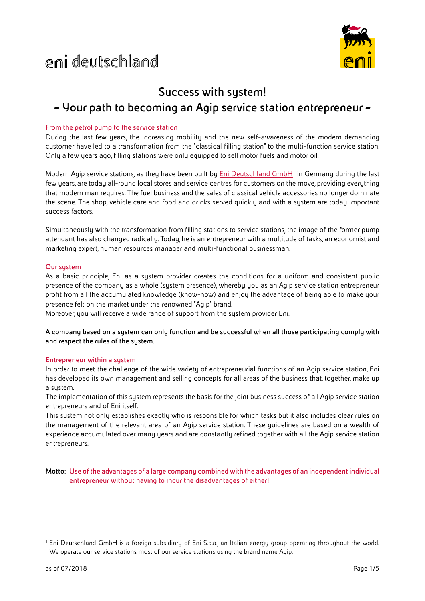# deutschland



# **Success with system! – Your path to becoming an Agip service station entrepreneur –**

# **From the petrol pump to the service station**

During the last few years, the increasing mobility and the new self-awareness of the modern demanding customer have led to a transformation from the "classical filling station" to the multi-function service station. Only a few years ago, filling stations were only equipped to sell motor fuels and motor oil.

Modern Agip service stations, as they have been built by **Eni Deutschland GmbH**<sup>1</sup> in Germany during the last few years, are today all-round local stores and service centres for customers on the move, providing everything that modern man requires. The fuel business and the sales of classical vehicle accessories no longer dominate the scene. The shop, vehicle care and food and drinks served quickly and with a system are today important success factors.

Simultaneously with the transformation from filling stations to service stations, the image of the former pump attendant has also changed radically. Today, he is an entrepreneur with a multitude of tasks, an economist and marketing expert, human resources manager and multi-functional businessman.

# **Our sustem**

As a basic principle, Eni as a system provider creates the conditions for a uniform and consistent public presence of the company as a whole (system presence), whereby you as an Agip service station entrepreneur profit from all the accumulated knowledge (know-how) and enjoy the advantage of being able to make your presence felt on the market under the renowned "Agip" brand.

Moreover, you will receive a wide range of support from the system provider Eni.

**A company based on a system can only function and be successful when all those participating comply with and respect the rules of the system.**

# **Entrepreneur within a system**

In order to meet the challenge of the wide variety of entrepreneurial functions of an Agip service station, Eni has developed its own management and selling concepts for all areas of the business that, together, make up a system.

The implementation of this system represents the basis for the joint business success of all Agip service station entrepreneurs and of Eni itself.

This system not only establishes exactly who is responsible for which tasks but it also includes clear rules on the management of the relevant area of an Agip service station. These guidelines are based on a wealth of experience accumulated over many years and are constantly refined together with all the Agip service station entrepreneurs.

**Motto: Use of the advantages of a large company combined with the advantages of an independent individual entrepreneur without having to incur the disadvantages of either!**

<sup>&</sup>lt;sup>1</sup> Eni Deutschland GmbH is a foreign subsidiary of Eni S.p.a., an Italian energy group operating throughout the world. We operate our service stations most of our service stations using the brand name Agip.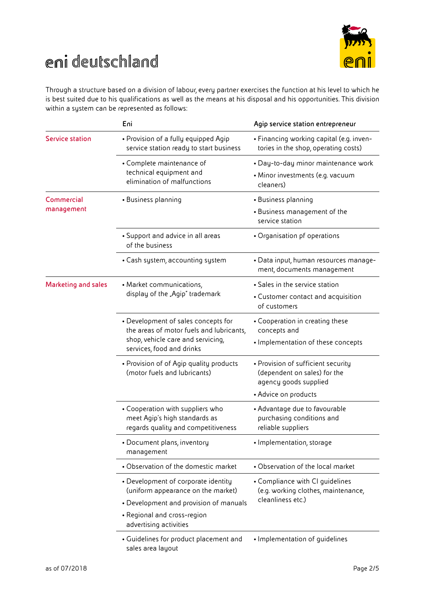

# deutschland

Through a structure based on a division of labour, every partner exercises the function at his level to which he is best suited due to his qualifications as well as the means at his disposal and his opportunities. This division within a system can be represented as follows:

|                                 | Eni                                                                                                                                               | Agip service station entrepreneur                                                           |
|---------------------------------|---------------------------------------------------------------------------------------------------------------------------------------------------|---------------------------------------------------------------------------------------------|
| <b>Service station</b>          | • Provision of a fully equipped Agip<br>service station ready to start business                                                                   | • Financing working capital (e.g. inven-<br>tories in the shop, operating costs)            |
|                                 | • Complete maintenance of<br>technical equipment and<br>elimination of malfunctions                                                               | · Day-to-day minor maintenance work<br>• Minor investments (e.g. vacuum<br>cleaners)        |
| <b>Commercial</b><br>management | • Business planning                                                                                                                               | • Business planning<br>• Business management of the<br>service station                      |
|                                 | • Support and advice in all areas<br>of the business                                                                                              | • Organisation pf operations                                                                |
|                                 | • Cash system, accounting system                                                                                                                  | • Data input, human resources manage-<br>ment, documents management                         |
| <b>Marketing and sales</b>      | • Market communications,<br>display of the "Agip" trademark                                                                                       | • Sales in the service station                                                              |
|                                 |                                                                                                                                                   | • Customer contact and acquisition<br>of customers                                          |
|                                 | • Development of sales concepts for<br>the areas of motor fuels and lubricants,<br>shop, vehicle care and servicing,<br>services, food and drinks | • Cooperation in creating these<br>concepts and                                             |
|                                 |                                                                                                                                                   | • Implementation of these concepts                                                          |
|                                 | • Provision of of Agip quality products<br>(motor fuels and lubricants)                                                                           | • Provision of sufficient security<br>(dependent on sales) for the<br>agency goods supplied |
|                                 |                                                                                                                                                   | • Advice on products                                                                        |
|                                 | • Cooperation with suppliers who<br>meet Agip's high standards as<br>regards quality and competitiveness                                          | • Advantage due to favourable<br>purchasing conditions and<br>reliable suppliers            |
|                                 | • Document plans, inventory<br>management                                                                                                         | • Implementation, storage                                                                   |
|                                 | • Observation of the domestic market                                                                                                              | • Observation of the local market                                                           |
|                                 | • Development of corporate identity<br>(uniform appearance on the market)                                                                         | • Compliance with CI guidelines<br>(e.g. working clothes, maintenance,<br>cleanliness etc.) |
|                                 | • Development and provision of manuals                                                                                                            |                                                                                             |
|                                 | • Regional and cross-region<br>advertising activities                                                                                             |                                                                                             |
|                                 | • Guidelines for product placement and<br>sales area layout                                                                                       | • Implementation of guidelines                                                              |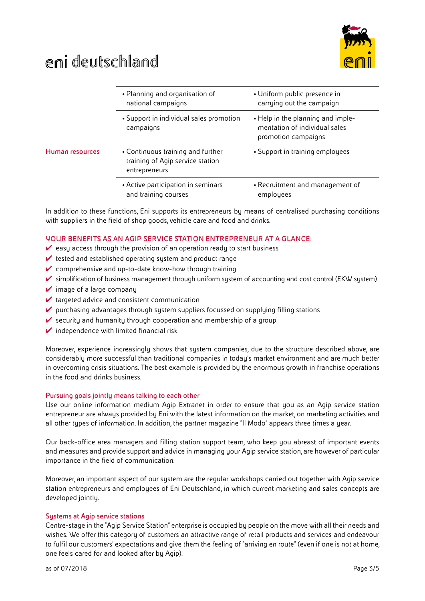



|                 | • Planning and organisation of<br>national campaigns<br>• Support in individual sales promotion<br>campaigns | · Uniform public presence in<br>carrying out the campaign                                 |
|-----------------|--------------------------------------------------------------------------------------------------------------|-------------------------------------------------------------------------------------------|
|                 |                                                                                                              | . Help in the planning and imple-<br>mentation of individual sales<br>promotion campaigns |
| Human resources | • Continuous training and further<br>training of Agip service station<br>entrepreneurs                       | • Support in training employees                                                           |
|                 | • Active participation in seminars<br>and training courses                                                   | • Recruitment and management of<br>employees                                              |

In addition to these functions, Eni supports its entrepreneurs by means of centralised purchasing conditions with suppliers in the field of shop goods, vehicle care and food and drinks.

# **YOUR BENEFITS AS AN AGIP SERVICE STATION ENTREPRENEUR AT A GLANCE:**

- $\vee$  easy access through the provision of an operation ready to start business
- $\vee$  tested and established operating system and product range
- $\vee$  comprehensive and up-to-date know-how through training
- ✔ simplification of business management through uniform system of accounting and cost control (EKW system)
- $\vee$  image of a large company
- $\vee$  targeted advice and consistent communication
- $\triangledown$  purchasing advantages through system suppliers focussed on supplying filling stations
- $\vee$  security and humanity through cooperation and membership of a group
- $\vee$  independence with limited financial risk

Moreover, experience increasingly shows that system companies, due to the structure described above, are considerably more successful than traditional companies in today's market environment and are much better in overcoming crisis situations. The best example is provided by the enormous growth in franchise operations in the food and drinks business.

#### **Pursuing goals jointly means talking to each other**

Use our online information medium Agip Extranet in order to ensure that you as an Agip service station entrepreneur are always provided by Eni with the latest information on the market, on marketing activities and all other types of information. In addition, the partner magazine "Il Modo" appears three times a year.

Our back-office area managers and filling station support team, who keep you abreast of important events and measures and provide support and advice in managing your Agip service station, are however of particular importance in the field of communication.

Moreover, an important aspect of our system are the regular workshops carried out together with Agip service station entrepreneurs and employees of Eni Deutschland, in which current marketing and sales concepts are developed jointly.

#### **Systems at Agip service stations**

Centre-stage in the "Agip Service Station" enterprise is occupied by people on the move with all their needs and wishes. We offer this category of customers an attractive range of retail products and services and endeavour to fulfil our customers' expectations and give them the feeling of "arriving en route" (even if one is not at home, one feels cared for and looked after by Agip).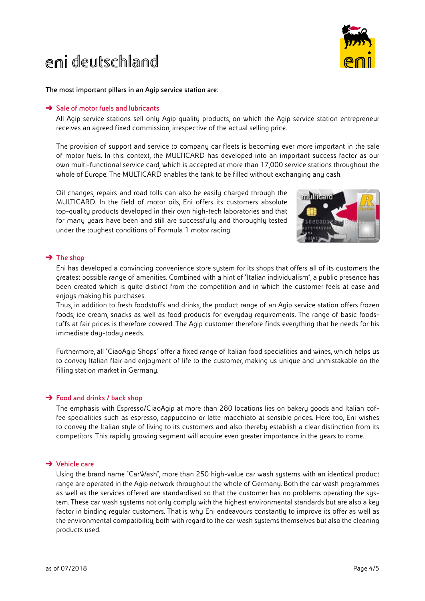# deutschland



**The most important pillars in an Agip service station are:**

### ➜ **Sale of motor fuels and lubricants**

All Agip service stations sell only Agip quality products, on which the Agip service station entrepreneur receives an agreed fixed commission, irrespective of the actual selling price.

 The provision of support and service to company car fleets is becoming ever more important in the sale of motor fuels. In this context, the MULTICARD has developed into an important success factor as our own multi-functional service card, which is accepted at more than 17,000 service stations throughout the whole of Europe. The MULTICARD enables the tank to be filled without exchanging any cash.

 Oil changes, repairs and road tolls can also be easily charged through the MULTICARD. In the field of motor oils, Eni offers its customers absolute top-quality products developed in their own high-tech laboratories and that for many years have been and still are successfully and thoroughly tested under the toughest conditions of Formula 1 motor racing.



# ➜ **The shop**

 Eni has developed a convincing convenience store system for its shops that offers all of its customers the greatest possible range of amenities. Combined with a hint of "Italian individualism", a public presence has been created which is quite distinct from the competition and in which the customer feels at ease and enjoys making his purchases.

 Thus, in addition to fresh foodstuffs and drinks, the product range of an Agip service station offers frozen foods, ice cream, snacks as well as food products for everyday requirements. The range of basic foodstuffs at fair prices is therefore covered. The Agip customer therefore finds everything that he needs for his immediate day-today needs.

 Furthermore, all "CiaoAgip Shops" offer a fixed range of Italian food specialities and wines, which helps us to convey Italian flair and enjoyment of life to the customer, making us unique and unmistakable on the filling station market in Germany.

# ➜ **Food and drinks / back shop**

 The emphasis with Espresso/CiaoAgip at more than 280 locations lies on bakery goods and Italian coffee specialities such as espresso, cappuccino or latte macchiato at sensible prices. Here too, Eni wishes to convey the Italian style of living to its customers and also thereby establish a clear distinction from its competitors. This rapidly growing segment will acquire even greater importance in the years to come.

# ➜ **Vehicle care**

 Using the brand name "CarWash", more than 250 high-value car wash systems with an identical product range are operated in the Agip network throughout the whole of Germany. Both the car wash programmes as well as the services offered are standardised so that the customer has no problems operating the system. These car wash systems not only comply with the highest environmental standards but are also a key factor in binding regular customers. That is why Eni endeavours constantly to improve its offer as well as the environmental compatibility, both with regard to the car wash systems themselves but also the cleaning products used.